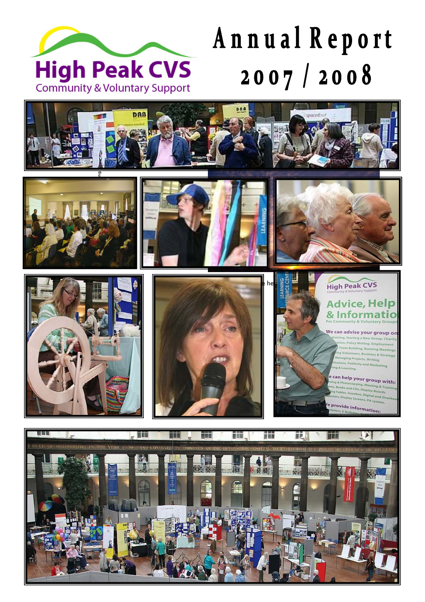

# Annual Report 2007/2008















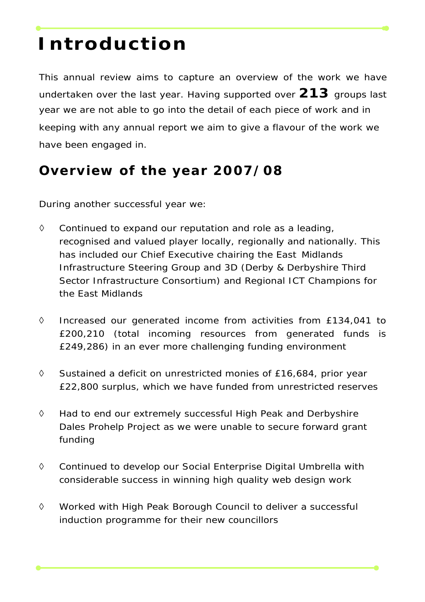# **Introduction**

This annual review aims to capture an overview of the work we have undertaken over the last year. Having supported over **213** groups last year we are not able to go into the detail of each piece of work and in keeping with any annual report we aim to give a flavour of the work we have been engaged in.

## **Overview of the year 2007/08**

During another successful year we:

- ◊ Continued to expand our reputation and role as a leading, recognised and valued player locally, regionally and nationally. This has included our Chief Executive chairing the East Midlands Infrastructure Steering Group and 3D (Derby & Derbyshire Third Sector Infrastructure Consortium) and Regional ICT Champions for the East Midlands
- ◊ Increased our generated income from activities from £134,041 to £200,210 (total incoming resources from generated funds is £249,286) in an ever more challenging funding environment
- ◊ Sustained a deficit on unrestricted monies of £16,684, prior year £22,800 surplus, which we have funded from unrestricted reserves
- ◊ Had to end our extremely successful High Peak and Derbyshire Dales Prohelp Project as we were unable to secure forward grant funding
- ◊ Continued to develop our Social Enterprise Digital Umbrella with considerable success in winning high quality web design work
- ◊ Worked with High Peak Borough Council to deliver a successful induction programme for their new councillors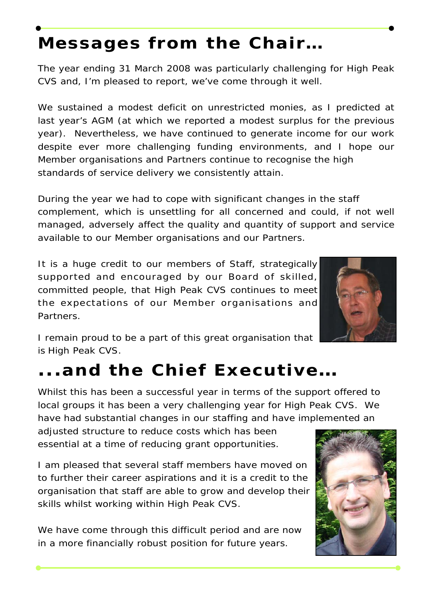# **Messages from the Chair…**

The year ending 31 March 2008 was particularly challenging for High Peak CVS and, I'm pleased to report, we've come through it well.

We sustained a modest deficit on unrestricted monies, as I predicted at last year's AGM (at which we reported a modest surplus for the previous year). Nevertheless, we have continued to generate income for our work despite ever more challenging funding environments, and I hope our Member organisations and Partners continue to recognise the high standards of service delivery we consistently attain.

During the year we had to cope with significant changes in the staff complement, which is unsettling for all concerned and could, if not well managed, adversely affect the quality and quantity of support and service available to our Member organisations and our Partners.

It is a huge credit to our members of Staff, strategically supported and encouraged by our Board of skilled, committed people, that High Peak CVS continues to meet the expectations of our Member organisations and Partners.

I remain proud to be a part of this great organisation that is High Peak CVS.

# **...and the Chief Executive…**

Whilst this has been a successful year in terms of the support offered to local groups it has been a very challenging year for High Peak CVS. We have had substantial changes in our staffing and have implemented an

adjusted structure to reduce costs which has been essential at a time of reducing grant opportunities.

I am pleased that several staff members have moved on to further their career aspirations and it is a credit to the organisation that staff are able to grow and develop their skills whilst working within High Peak CVS.

We have come through this difficult period and are now in a more financially robust position for future years.



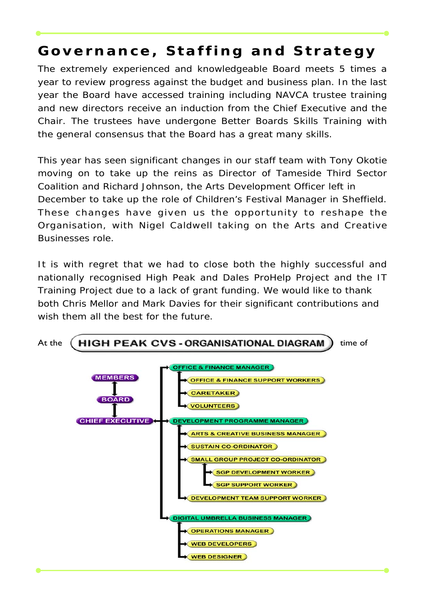# **Governance, Staffing and Strategy**

The extremely experienced and knowledgeable Board meets 5 times a year to review progress against the budget and business plan. In the last year the Board have accessed training including NAVCA trustee training and new directors receive an induction from the Chief Executive and the Chair. The trustees have undergone Better Boards Skills Training with the general consensus that the Board has a great many skills.

This year has seen significant changes in our staff team with Tony Okotie moving on to take up the reins as Director of Tameside Third Sector Coalition and Richard Johnson, the Arts Development Officer left in December to take up the role of Children's Festival Manager in Sheffield. These changes have given us the opportunity to reshape the Organisation, with Nigel Caldwell taking on the Arts and Creative Businesses role.

It is with regret that we had to close both the highly successful and nationally recognised High Peak and Dales ProHelp Project and the IT Training Project due to a lack of grant funding. We would like to thank both Chris Mellor and Mark Davies for their significant contributions and wish them all the best for the future.

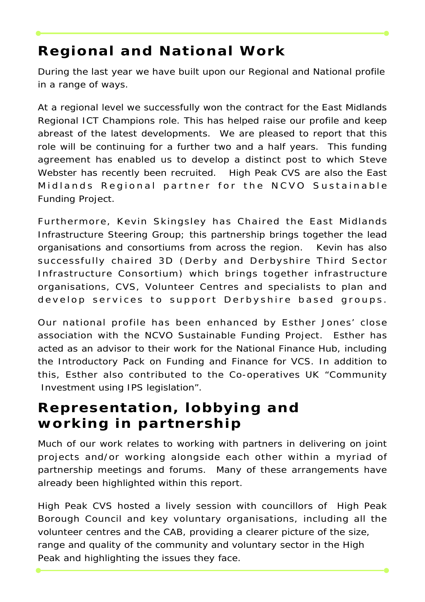# **Regional and National Work**

During the last year we have built upon our Regional and National profile in a range of ways.

At a regional level we successfully won the contract for the East Midlands Regional ICT Champions role. This has helped raise our profile and keep abreast of the latest developments. We are pleased to report that this role will be continuing for a further two and a half years. This funding agreement has enabled us to develop a distinct post to which Steve Webster has recently been recruited. High Peak CVS are also the East Midlands Regional partner for the NCVO Sustainable Funding Project.

Furthermore, Kevin Skingsley has Chaired the East Midlands Infrastructure Steering Group; this partnership brings together the lead organisations and consortiums from across the region. Kevin has also successfully chaired 3D (Derby and Derbyshire Third Sector Infrastructure Consortium) which brings together infrastructure organisations, CVS, Volunteer Centres and specialists to plan and develop services to support Derbyshire based groups.

Our national profile has been enhanced by Esther Jones' close association with the NCVO Sustainable Funding Project. Esther has acted as an advisor to their work for the National Finance Hub, including the Introductory Pack on Funding and Finance for VCS. In addition to this, Esther also contributed to the Co-operatives UK "Community Investment using IPS legislation".

# **Representation, lobbying and working in partnership**

Much of our work relates to working with partners in delivering on joint projects and/or working alongside each other within a myriad of partnership meetings and forums. Many of these arrangements have already been highlighted within this report.

High Peak CVS hosted a lively session with councillors of High Peak Borough Council and key voluntary organisations, including all the volunteer centres and the CAB, providing a clearer picture of the size, range and quality of the community and voluntary sector in the High Peak and highlighting the issues they face.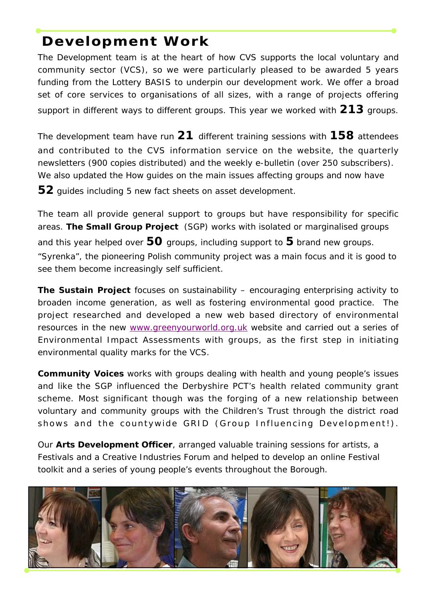# **Development Work**

The Development team is at the heart of how CVS supports the local voluntary and community sector (VCS), so we were particularly pleased to be awarded 5 years funding from the Lottery BASIS to underpin our development work. We offer a broad set of core services to organisations of all sizes, with a range of projects offering support in different ways to different groups. This year we worked with **213** groups.

The development team have run **21** different training sessions with **158** attendees and contributed to the CVS information service on the website, the quarterly newsletters (900 copies distributed) and the weekly e-bulletin (over 250 subscribers). We also updated the How guides on the main issues affecting groups and now have **52** guides including 5 new fact sheets on asset development.

The team all provide general support to groups but have responsibility for specific areas. **The Small Group Project** (SGP) works with isolated or marginalised groups and this year helped over **50** groups, including support to **5** brand new groups. "Syrenka", the pioneering Polish community project was a main focus and it is good to see them become increasingly self sufficient.

**The Sustain Project** focuses on sustainability – encouraging enterprising activity to broaden income generation, as well as fostering environmental good practice. The project researched and developed a new web based directory of environmental resources in the new www.greenyourworld.org.uk website and carried out a series of Environmental Impact Assessments with groups, as the first step in initiating environmental quality marks for the VCS.

**Community Voices** works with groups dealing with health and young people's issues and like the SGP influenced the Derbyshire PCT's health related community grant scheme. Most significant though was the forging of a new relationship between voluntary and community groups with the Children's Trust through the district road shows and the countywide GRID (Group Influencing Development!).

Our **Arts Development Officer**, arranged valuable training sessions for artists, a Festivals and a Creative Industries Forum and helped to develop an online Festival toolkit and a series of young people's events throughout the Borough.

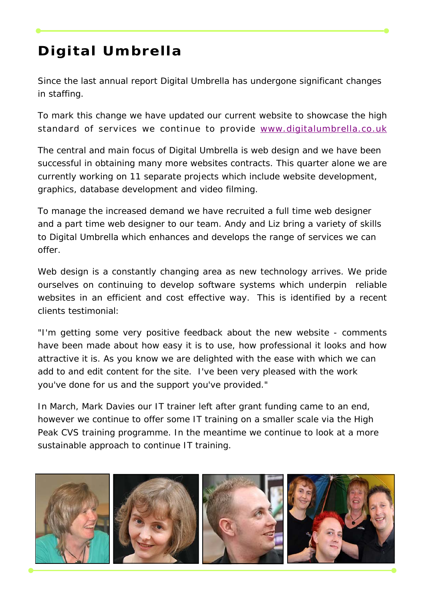# **Digital Umbrella**

Since the last annual report Digital Umbrella has undergone significant changes in staffing.

To mark this change we have updated our current website to showcase the high standard of services we continue to provide www.digitalumbrella.co.uk

The central and main focus of Digital Umbrella is web design and we have been successful in obtaining many more websites contracts. This quarter alone we are currently working on 11 separate projects which include website development, graphics, database development and video filming.

To manage the increased demand we have recruited a full time web designer and a part time web designer to our team. Andy and Liz bring a variety of skills to Digital Umbrella which enhances and develops the range of services we can offer.

Web design is a constantly changing area as new technology arrives. We pride ourselves on continuing to develop software systems which underpin reliable websites in an efficient and cost effective way. This is identified by a recent clients testimonial:

"I'm getting some very positive feedback about the new website - comments have been made about how easy it is to use, how professional it looks and how attractive it is. As you know we are delighted with the ease with which we can add to and edit content for the site. I've been very pleased with the work you've done for us and the support you've provided."

In March, Mark Davies our IT trainer left after grant funding came to an end, however we continue to offer some IT training on a smaller scale via the High Peak CVS training programme. In the meantime we continue to look at a more sustainable approach to continue IT training.

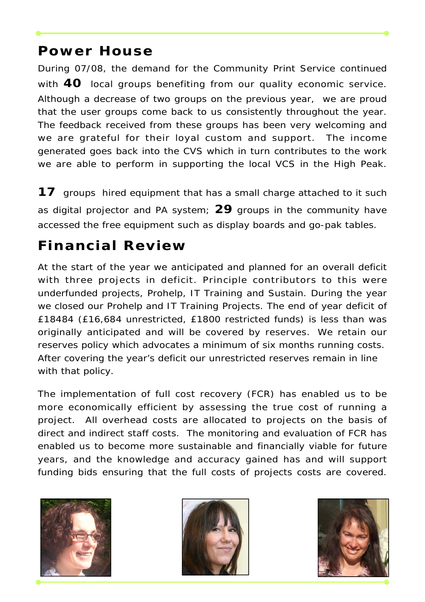### **Power House**

During 07/08, the demand for the Community Print Service continued with **40** local groups benefiting from our quality economic service. Although a decrease of two groups on the previous year, we are proud that the user groups come back to us consistently throughout the year. The feedback received from these groups has been very welcoming and we are grateful for their loyal custom and support. The income generated goes back into the CVS which in turn contributes to the work we are able to perform in supporting the local VCS in the High Peak.

**17** groups hired equipment that has a small charge attached to it such as digital projector and PA system; **29** groups in the community have accessed the free equipment such as display boards and go-pak tables.

# **Financial Review**

At the start of the year we anticipated and planned for an overall deficit with three projects in deficit. Principle contributors to this were underfunded projects, Prohelp, IT Training and Sustain. During the year we closed our Prohelp and IT Training Projects. The end of year deficit of £18484 (£16,684 unrestricted, £1800 restricted funds) is less than was originally anticipated and will be covered by reserves. We retain our reserves policy which advocates a minimum of six months running costs. After covering the year's deficit our unrestricted reserves remain in line with that policy.

The implementation of full cost recovery (FCR) has enabled us to be more economically efficient by assessing the true cost of running a project. All overhead costs are allocated to projects on the basis of direct and indirect staff costs. The monitoring and evaluation of FCR has enabled us to become more sustainable and financially viable for future years, and the knowledge and accuracy gained has and will support funding bids ensuring that the full costs of projects costs are covered.





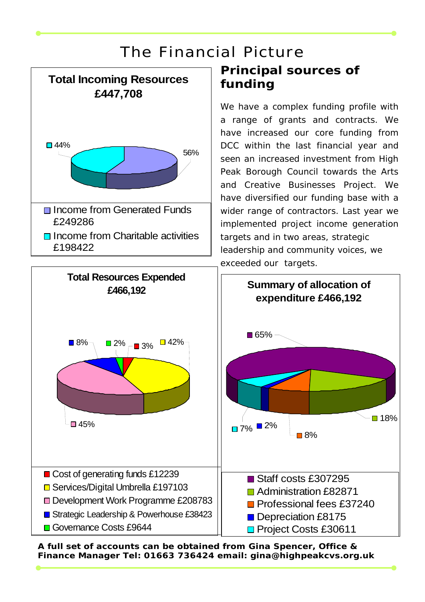# The Financial Picture



# **Principal sources of funding**

We have a complex funding profile with a range of grants and contracts. We have increased our core funding from DCC within the last financial year and seen an increased investment from High Peak Borough Council towards the Arts and Creative Businesses Project. We have diversified our funding base with a wider range of contractors. Last year we implemented project income generation targets and in two areas, strategic leadership and community voices, we exceeded our targets.



**A full set of accounts can be obtained from Gina Spencer, Office & Finance Manager Tel: 01663 736424 email: gina@highpeakcvs.org.uk**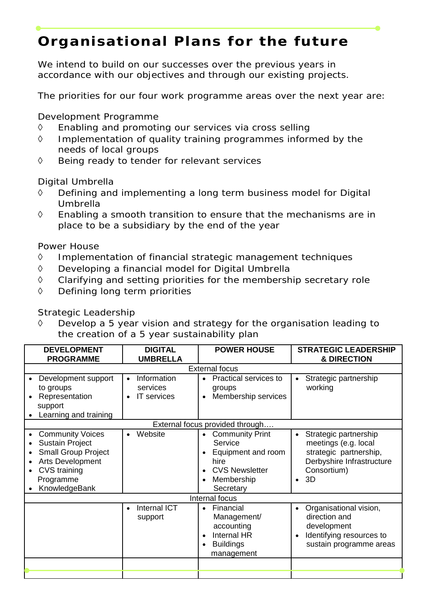# **Organisational Plans for the future**

We intend to build on our successes over the previous years in accordance with our objectives and through our existing projects.

The priorities for our four work programme areas over the next year are:

Development Programme

- ◊ Enabling and promoting our services via cross selling
- ◊ Implementation of quality training programmes informed by the needs of local groups
- ◊ Being ready to tender for relevant services

Digital Umbrella

- ◊ Defining and implementing a long term business model for Digital Umbrella
- ◊ Enabling a smooth transition to ensure that the mechanisms are in place to be a subsidiary by the end of the year

Power House

- ◊ Implementation of financial strategic management techniques
- ◊ Developing a financial model for Digital Umbrella
- ◊ Clarifying and setting priorities for the membership secretary role
- ◊ Defining long term priorities

#### Strategic Leadership

◊ Develop a 5 year vision and strategy for the organisation leading to the creation of a 5 year sustainability plan

| <b>DEVELOPMENT</b><br><b>PROGRAMME</b>                                                                                                                   | <b>DIGITAL</b><br><b>UMBRELLA</b>                                       | <b>POWER HOUSE</b>                                                                                                                            | <b>STRATEGIC LEADERSHIP</b><br>& DIRECTION                                                                                             |
|----------------------------------------------------------------------------------------------------------------------------------------------------------|-------------------------------------------------------------------------|-----------------------------------------------------------------------------------------------------------------------------------------------|----------------------------------------------------------------------------------------------------------------------------------------|
| <b>External focus</b>                                                                                                                                    |                                                                         |                                                                                                                                               |                                                                                                                                        |
| Development support<br>to groups<br>Representation<br>support<br>Learning and training                                                                   | Information<br>$\bullet$<br>services<br><b>IT</b> services<br>$\bullet$ | Practical services to<br>$\bullet$<br>groups<br>Membership services<br>$\bullet$                                                              | Strategic partnership<br>working                                                                                                       |
| External focus provided through                                                                                                                          |                                                                         |                                                                                                                                               |                                                                                                                                        |
| <b>Community Voices</b><br><b>Sustain Project</b><br><b>Small Group Project</b><br>Arts Development<br><b>CVS</b> training<br>Programme<br>KnowledgeBank | Website<br>$\bullet$                                                    | <b>Community Print</b><br>$\bullet$<br>Service<br>Equipment and room<br>hire<br><b>CVS Newsletter</b><br>$\bullet$<br>Membership<br>Secretary | Strategic partnership<br>$\bullet$<br>meetings (e.g. local<br>strategic partnership,<br>Derbyshire Infrastructure<br>Consortium)<br>3D |
| Internal focus                                                                                                                                           |                                                                         |                                                                                                                                               |                                                                                                                                        |
|                                                                                                                                                          | <b>Internal ICT</b><br>$\bullet$<br>support                             | Financial<br>$\bullet$<br>Management/<br>accounting<br>Internal HR<br>$\bullet$<br><b>Buildings</b><br>$\bullet$<br>management                | Organisational vision,<br>$\bullet$<br>direction and<br>development<br>Identifying resources to<br>sustain programme areas             |
|                                                                                                                                                          |                                                                         |                                                                                                                                               |                                                                                                                                        |